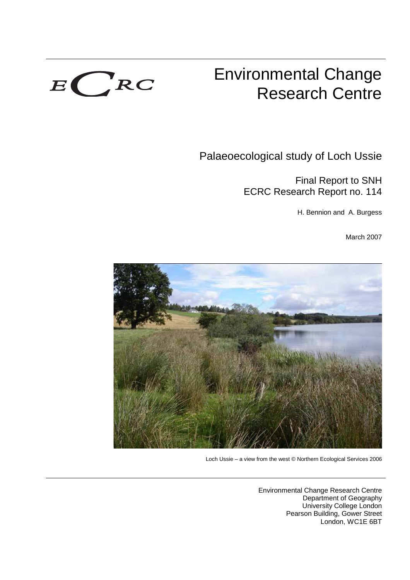

# Environmental Change Research Centre

Palaeoecological study of Loch Ussie

Final Report to SNH ECRC Research Report no. 114

H. Bennion and A. Burgess

March 2007



Loch Ussie – a view from the west © Northern Ecological Services 2006

Environmental Change Research Centre Department of Geography University College London Pearson Building, Gower Street London, WC1E 6BT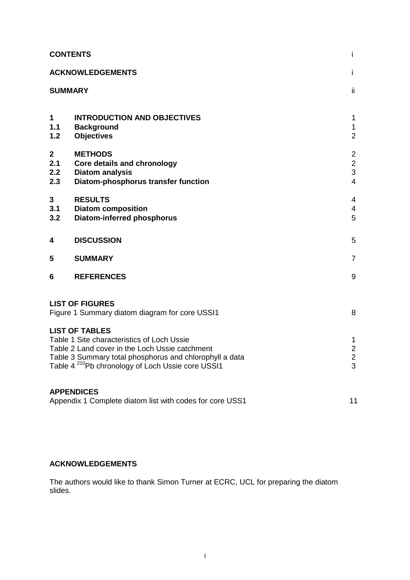| <b>CONTENTS</b><br>j.                                                                                                                           |                                                                              |                                               |  |  |  |
|-------------------------------------------------------------------------------------------------------------------------------------------------|------------------------------------------------------------------------------|-----------------------------------------------|--|--|--|
|                                                                                                                                                 | <b>ACKNOWLEDGEMENTS</b>                                                      |                                               |  |  |  |
| <b>SUMMARY</b>                                                                                                                                  |                                                                              | ii.                                           |  |  |  |
|                                                                                                                                                 |                                                                              |                                               |  |  |  |
| $\mathbf 1$<br>$1.1$<br>$1.2$                                                                                                                   | <b>INTRODUCTION AND OBJECTIVES</b><br><b>Background</b><br><b>Objectives</b> | $\mathbf 1$<br>$\mathbf{1}$<br>$\overline{2}$ |  |  |  |
| $\boldsymbol{2}$<br>2.1                                                                                                                         | <b>METHODS</b><br><b>Core details and chronology</b>                         | $\overline{2}$<br>$\overline{2}$              |  |  |  |
| 2.2<br>2.3                                                                                                                                      | <b>Diatom analysis</b><br>Diatom-phosphorus transfer function                | 3<br>$\overline{4}$                           |  |  |  |
| $\mathbf{3}$<br>3.1                                                                                                                             | <b>RESULTS</b><br><b>Diatom composition</b>                                  | 4<br>4                                        |  |  |  |
| 3.2                                                                                                                                             | <b>Diatom-inferred phosphorus</b>                                            | 5                                             |  |  |  |
| 4                                                                                                                                               | <b>DISCUSSION</b>                                                            |                                               |  |  |  |
| 5                                                                                                                                               | <b>SUMMARY</b>                                                               |                                               |  |  |  |
| 6                                                                                                                                               | <b>REFERENCES</b>                                                            |                                               |  |  |  |
| <b>LIST OF FIGURES</b>                                                                                                                          |                                                                              |                                               |  |  |  |
| Figure 1 Summary diatom diagram for core USSI1<br>8                                                                                             |                                                                              |                                               |  |  |  |
| <b>LIST OF TABLES</b><br>Table 1 Site characteristics of Loch Ussie<br>$\mathbf 1$                                                              |                                                                              |                                               |  |  |  |
| $\overline{c}$<br>Table 2 Land cover in the Loch Ussie catchment                                                                                |                                                                              |                                               |  |  |  |
| $\overline{c}$<br>Table 3 Summary total phosphorus and chlorophyll a data<br>Table 4 <sup>210</sup> Pb chronology of Loch Ussie core USSI1<br>3 |                                                                              |                                               |  |  |  |
| <b>APPENDICES</b>                                                                                                                               |                                                                              |                                               |  |  |  |
| Appendix 1 Complete diatom list with codes for core USS1<br>11                                                                                  |                                                                              |                                               |  |  |  |

## **ACKNOWLEDGEMENTS**

The authors would like to thank Simon Turner at ECRC, UCL for preparing the diatom slides.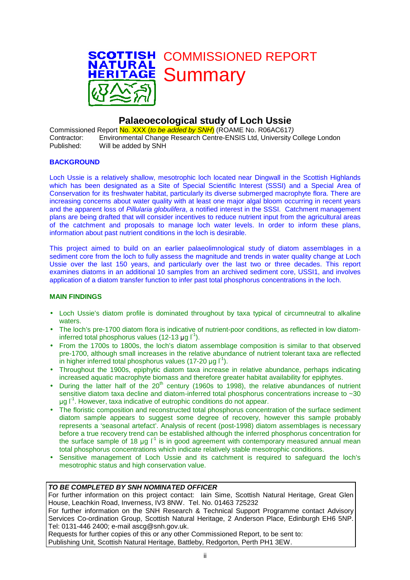

# **Palaeoecological study of Loch Ussie**

Commissioned Report No. XXX (to be added by SNH) (ROAME No. R06AC617) Contractor: Environmental Change Research Centre-ENSIS Ltd, University College London Published: Will be added by SNH

#### **BACKGROUND**

Loch Ussie is a relatively shallow, mesotrophic loch located near Dingwall in the Scottish Highlands which has been designated as a Site of Special Scientific Interest (SSSI) and a Special Area of Conservation for its freshwater habitat, particularly its diverse submerged macrophyte flora. There are increasing concerns about water quality with at least one major algal bloom occurring in recent years and the apparent loss of Pillularia globulifera, a notified interest in the SSSI. Catchment management plans are being drafted that will consider incentives to reduce nutrient input from the agricultural areas of the catchment and proposals to manage loch water levels. In order to inform these plans, information about past nutrient conditions in the loch is desirable.

This project aimed to build on an earlier palaeolimnological study of diatom assemblages in a sediment core from the loch to fully assess the magnitude and trends in water quality change at Loch Ussie over the last 150 years, and particularly over the last two or three decades. This report examines diatoms in an additional 10 samples from an archived sediment core, USSI1, and involves application of a diatom transfer function to infer past total phosphorus concentrations in the loch.

#### **MAIN FINDINGS**

- Loch Ussie's diatom profile is dominated throughout by taxa typical of circumneutral to alkaline waters.
- The loch's pre-1700 diatom flora is indicative of nutrient-poor conditions, as reflected in low diatominferred total phosphorus values (12-13 µg  $\mathsf{I}^1$ ).
- From the 1700s to 1800s, the loch's diatom assemblage composition is similar to that observed pre-1700, although small increases in the relative abundance of nutrient tolerant taxa are reflected in higher inferred total phosphorus values (17-20 µg  $I^1$ ).
- Throughout the 1900s, epiphytic diatom taxa increase in relative abundance, perhaps indicating increased aquatic macrophyte biomass and therefore greater habitat availability for epiphytes.
- During the latter half of the 20<sup>th</sup> century (1960s to 1998), the relative abundances of nutrient sensitive diatom taxa decline and diatom-inferred total phosphorus concentrations increase to ~30  $\mu$ g l<sup>-1</sup>. However, taxa indicative of eutrophic conditions do not appear.
- The floristic composition and reconstructed total phosphorus concentration of the surface sediment diatom sample appears to suggest some degree of recovery, however this sample probably represents a 'seasonal artefact'. Analysis of recent (post-1998) diatom assemblages is necessary before a true recovery trend can be established although the inferred phosphorus concentration for the surface sample of 18  $\mu$ g  $I^1$  is in good agreement with contemporary measured annual mean total phosphorus concentrations which indicate relatively stable mesotrophic conditions.
- Sensitive management of Loch Ussie and its catchment is required to safeguard the loch's mesotrophic status and high conservation value.

### **TO BE COMPLETED BY SNH NOMINATED OFFICER**

For further information on this project contact: Iain Sime, Scottish Natural Heritage, Great Glen House, Leachkin Road, Inverness, IV3 8NW. Tel. No. 01463 725232

For further information on the SNH Research & Technical Support Programme contact Advisory Services Co-ordination Group, Scottish Natural Heritage, 2 Anderson Place, Edinburgh EH6 5NP. Tel: 0131-446 2400; e-mail ascg@snh.gov.uk.

Requests for further copies of this or any other Commissioned Report, to be sent to: Publishing Unit, Scottish Natural Heritage, Battleby, Redgorton, Perth PH1 3EW.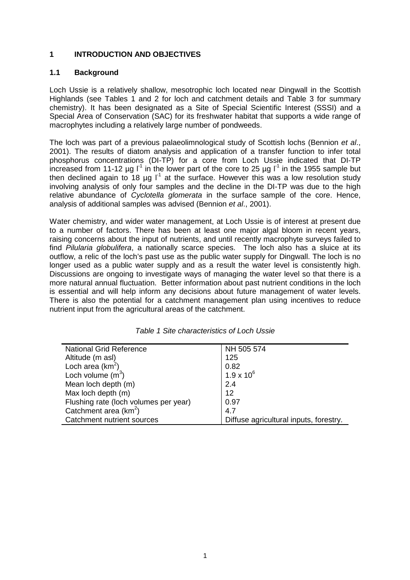## **1 INTRODUCTION AND OBJECTIVES**

## **1.1 Background**

Loch Ussie is a relatively shallow, mesotrophic loch located near Dingwall in the Scottish Highlands (see Tables 1 and 2 for loch and catchment details and Table 3 for summary chemistry). It has been designated as a Site of Special Scientific Interest (SSSI) and a Special Area of Conservation (SAC) for its freshwater habitat that supports a wide range of macrophytes including a relatively large number of pondweeds.

The loch was part of a previous palaeolimnological study of Scottish lochs (Bennion et al., 2001). The results of diatom analysis and application of a transfer function to infer total phosphorus concentrations (DI-TP) for a core from Loch Ussie indicated that DI-TP increased from 11-12 µg  $I^1$  in the lower part of the core to 25 µg  $I^1$  in the 1955 sample but then declined again to 18  $\mu$ g l<sup>1</sup> at the surface. However this was a low resolution study involving analysis of only four samples and the decline in the DI-TP was due to the high relative abundance of Cyclotella glomerata in the surface sample of the core. Hence, analysis of additional samples was advised (Bennion et al., 2001).

Water chemistry, and wider water management, at Loch Ussie is of interest at present due to a number of factors. There has been at least one major algal bloom in recent years, raising concerns about the input of nutrients, and until recently macrophyte surveys failed to find Pilularia globulifera, a nationally scarce species. The loch also has a sluice at its outflow, a relic of the loch's past use as the public water supply for Dingwall. The loch is no longer used as a public water supply and as a result the water level is consistently high. Discussions are ongoing to investigate ways of managing the water level so that there is a more natural annual fluctuation. Better information about past nutrient conditions in the loch is essential and will help inform any decisions about future management of water levels. There is also the potential for a catchment management plan using incentives to reduce nutrient input from the agricultural areas of the catchment.

| <b>National Grid Reference</b>        | NH 505 574                             |  |  |
|---------------------------------------|----------------------------------------|--|--|
| Altitude (m asl)                      | 125                                    |  |  |
| Loch area $(km^2)$                    | 0.82                                   |  |  |
| Loch volume $(m^3)$                   | $1.9 \times 10^{6}$                    |  |  |
| Mean loch depth (m)                   | 2.4                                    |  |  |
| Max loch depth (m)                    | 12                                     |  |  |
| Flushing rate (loch volumes per year) | 0.97                                   |  |  |
| Catchment area $(km^2)$               | 4.7                                    |  |  |
| Catchment nutrient sources            | Diffuse agricultural inputs, forestry. |  |  |

Table 1 Site characteristics of Loch Ussie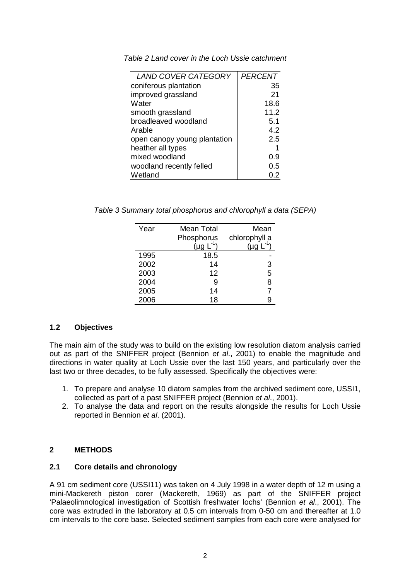| <b>LAND COVER CATEGORY</b>   | <b>PERCENT</b> |
|------------------------------|----------------|
| coniferous plantation        | 35             |
| improved grassland           | 21             |
| Water                        | 18.6           |
| smooth grassland             | 11.2           |
| broadleaved woodland         | 5.1            |
| Arable                       | 4.2            |
| open canopy young plantation | 2.5            |
| heather all types            |                |
| mixed woodland               | 0.9            |
| woodland recently felled     | 0.5            |
| Wetland                      | 0.2            |

Table 2 Land cover in the Loch Ussie catchment

Table 3 Summary total phosphorus and chlorophyll a data (SEPA)

| Year | Mean Total | Mean          |
|------|------------|---------------|
|      | Phosphorus | chlorophyll a |
|      | $(\mu q)$  | (ua L         |
| 1995 | 18.5       |               |
| 2002 | 14         | 3             |
| 2003 | 12         | 5             |
| 2004 |            | 8             |
| 2005 | 14         |               |
| 2006 | 18         |               |

## **1.2 Objectives**

The main aim of the study was to build on the existing low resolution diatom analysis carried out as part of the SNIFFER project (Bennion et al., 2001) to enable the magnitude and directions in water quality at Loch Ussie over the last 150 years, and particularly over the last two or three decades, to be fully assessed. Specifically the objectives were:

- 1. To prepare and analyse 10 diatom samples from the archived sediment core, USSI1, collected as part of a past SNIFFER project (Bennion et al., 2001).
- 2. To analyse the data and report on the results alongside the results for Loch Ussie reported in Bennion et al. (2001).

## **2 METHODS**

## **2.1 Core details and chronology**

A 91 cm sediment core (USSI11) was taken on 4 July 1998 in a water depth of 12 m using a mini-Mackereth piston corer (Mackereth, 1969) as part of the SNIFFER project 'Palaeolimnological investigation of Scottish freshwater lochs' (Bennion et al., 2001). The core was extruded in the laboratory at 0.5 cm intervals from 0-50 cm and thereafter at 1.0 cm intervals to the core base. Selected sediment samples from each core were analysed for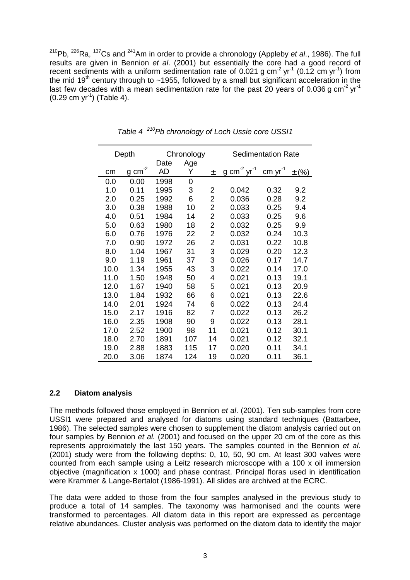$210Pb$ ,  $226Ra$ ,  $137Cs$  and  $241Am$  in order to provide a chronology (Appleby et al., 1986). The full results are given in Bennion et al. (2001) but essentially the core had a good record of recent sediments with a uniform sedimentation rate of 0.021 g  $cm^{-2}$  yr<sup>-1</sup> (0.12 cm yr<sup>-1</sup>) from the mid  $19<sup>th</sup>$  century through to ~1955, followed by a small but significant acceleration in the last few decades with a mean sedimentation rate for the past 20 years of 0.036 g cm<sup>-2</sup> yr<sup>-1</sup>  $(0.29 \text{ cm yr}^{-1})$  (Table 4).

| Depth |                      | Chronology |          | <b>Sedimentation Rate</b> |                                     |           |           |
|-------|----------------------|------------|----------|---------------------------|-------------------------------------|-----------|-----------|
| cm    | $g$ cm <sup>-2</sup> | Date<br>AD | Age<br>Y | 土                         | g cm <sup>-2</sup> yr <sup>-1</sup> | $cm yr-1$ | $\pm$ (%) |
| 0.0   | 0.00                 | 1998       | 0        |                           |                                     |           |           |
| 1.0   | 0.11                 | 1995       | 3        | 2                         | 0.042                               | 0.32      | 9.2       |
| 2.0   | 0.25                 | 1992       | 6        | 2                         | 0.036                               | 0.28      | 9.2       |
| 3.0   | 0.38                 | 1988       | 10       | $\overline{\mathbf{c}}$   | 0.033                               | 0.25      | 9.4       |
| 4.0   | 0.51                 | 1984       | 14       | $\overline{c}$            | 0.033                               | 0.25      | 9.6       |
| 5.0   | 0.63                 | 1980       | 18       | $\overline{\mathbf{c}}$   | 0.032                               | 0.25      | 9.9       |
| 6.0   | 0.76                 | 1976       | 22       | $\overline{c}$            | 0.032                               | 0.24      | 10.3      |
| 7.0   | 0.90                 | 1972       | 26       | 2                         | 0.031                               | 0.22      | 10.8      |
| 8.0   | 1.04                 | 1967       | 31       | 3                         | 0.029                               | 0.20      | 12.3      |
| 9.0   | 1.19                 | 1961       | 37       | 3                         | 0.026                               | 0.17      | 14.7      |
| 10.0  | 1.34                 | 1955       | 43       | 3                         | 0.022                               | 0.14      | 17.0      |
| 11.0  | 1.50                 | 1948       | 50       | 4                         | 0.021                               | 0.13      | 19.1      |
| 12.0  | 1.67                 | 1940       | 58       | 5                         | 0.021                               | 0.13      | 20.9      |
| 13.0  | 1.84                 | 1932       | 66       | 6                         | 0.021                               | 0.13      | 22.6      |
| 14.0  | 2.01                 | 1924       | 74       | 6                         | 0.022                               | 0.13      | 24.4      |
| 15.0  | 2.17                 | 1916       | 82       | 7                         | 0.022                               | 0.13      | 26.2      |
| 16.0  | 2.35                 | 1908       | 90       | 9                         | 0.022                               | 0.13      | 28.1      |
| 17.0  | 2.52                 | 1900       | 98       | 11                        | 0.021                               | 0.12      | 30.1      |
| 18.0  | 2.70                 | 1891       | 107      | 14                        | 0.021                               | 0.12      | 32.1      |
| 19.0  | 2.88                 | 1883       | 115      | 17                        | 0.020                               | 0.11      | 34.1      |
| 20.0  | 3.06                 | 1874       | 124      | 19                        | 0.020                               | 0.11      | 36.1      |

Table 4<sup>210</sup>Pb chronology of Loch Ussie core USSI1

## **2.2 Diatom analysis**

The methods followed those employed in Bennion et al. (2001). Ten sub-samples from core USSI1 were prepared and analysed for diatoms using standard techniques (Battarbee, 1986). The selected samples were chosen to supplement the diatom analysis carried out on four samples by Bennion et al. (2001) and focused on the upper 20 cm of the core as this represents approximately the last 150 years. The samples counted in the Bennion et al. (2001) study were from the following depths: 0, 10, 50, 90 cm. At least 300 valves were counted from each sample using a Leitz research microscope with a 100 x oil immersion objective (magnification x 1000) and phase contrast. Principal floras used in identification were Krammer & Lange-Bertalot (1986-1991). All slides are archived at the ECRC.

The data were added to those from the four samples analysed in the previous study to produce a total of 14 samples. The taxonomy was harmonised and the counts were transformed to percentages. All diatom data in this report are expressed as percentage relative abundances. Cluster analysis was performed on the diatom data to identify the major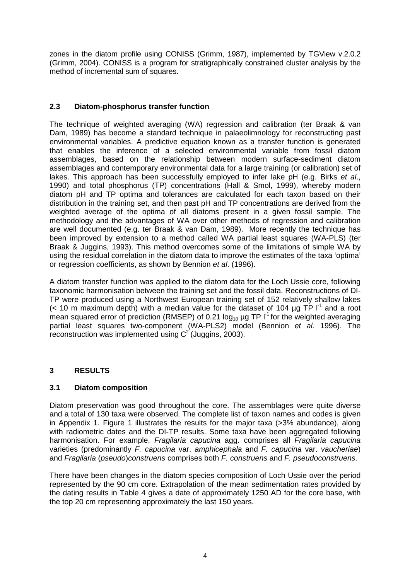zones in the diatom profile using CONISS (Grimm, 1987), implemented by TGView v.2.0.2 (Grimm, 2004). CONISS is a program for stratigraphically constrained cluster analysis by the method of incremental sum of squares.

## **2.3 Diatom-phosphorus transfer function**

The technique of weighted averaging (WA) regression and calibration (ter Braak & van Dam, 1989) has become a standard technique in palaeolimnology for reconstructing past environmental variables. A predictive equation known as a transfer function is generated that enables the inference of a selected environmental variable from fossil diatom assemblages, based on the relationship between modern surface-sediment diatom assemblages and contemporary environmental data for a large training (or calibration) set of lakes. This approach has been successfully employed to infer lake pH (e.g. Birks et al., 1990) and total phosphorus (TP) concentrations (Hall & Smol, 1999), whereby modern diatom pH and TP optima and tolerances are calculated for each taxon based on their distribution in the training set, and then past pH and TP concentrations are derived from the weighted average of the optima of all diatoms present in a given fossil sample. The methodology and the advantages of WA over other methods of regression and calibration are well documented (e.g. ter Braak & van Dam, 1989). More recently the technique has been improved by extension to a method called WA partial least squares (WA-PLS) (ter Braak & Juggins, 1993). This method overcomes some of the limitations of simple WA by using the residual correlation in the diatom data to improve the estimates of the taxa 'optima' or regression coefficients, as shown by Bennion et al. (1996).

A diatom transfer function was applied to the diatom data for the Loch Ussie core, following taxonomic harmonisation between the training set and the fossil data. Reconstructions of DI-TP were produced using a Northwest European training set of 152 relatively shallow lakes (< 10 m maximum depth) with a median value for the dataset of 104  $\mu$ g TP  $I^1$  and a root mean squared error of prediction (RMSEP) of 0.21  $log_{10}$  µg TP  $I^1$  for the weighted averaging partial least squares two-component (WA-PLS2) model (Bennion et al. 1996). The reconstruction was implemented using  $C^2$  (Juggins, 2003).

## **3 RESULTS**

## **3.1 Diatom composition**

Diatom preservation was good throughout the core. The assemblages were quite diverse and a total of 130 taxa were observed. The complete list of taxon names and codes is given in Appendix 1. Figure 1 illustrates the results for the major taxa (>3% abundance), along with radiometric dates and the DI-TP results. Some taxa have been aggregated following harmonisation. For example, *Fragilaria capucina* agg. comprises all Fragilaria capucina varieties (predominantly F. capucina var. amphicephala and F. capucina var. vaucheriae) and Fragilaria (pseudo)construens comprises both F. construens and F. pseudoconstruens.

There have been changes in the diatom species composition of Loch Ussie over the period represented by the 90 cm core. Extrapolation of the mean sedimentation rates provided by the dating results in Table 4 gives a date of approximately 1250 AD for the core base, with the top 20 cm representing approximately the last 150 years.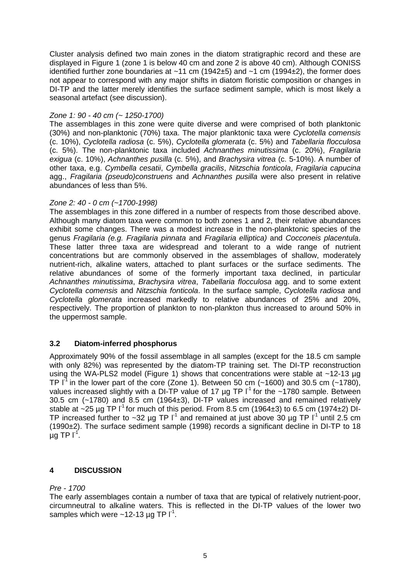Cluster analysis defined two main zones in the diatom stratigraphic record and these are displayed in Figure 1 (zone 1 is below 40 cm and zone 2 is above 40 cm). Although CONISS identified further zone boundaries at  $~11$  cm (1942 $~15$ ) and  $~1$  cm (1994 $~12$ ), the former does not appear to correspond with any major shifts in diatom floristic composition or changes in DI-TP and the latter merely identifies the surface sediment sample, which is most likely a seasonal artefact (see discussion).

## Zone 1: 90 - 40 cm (~ 1250-1700)

The assemblages in this zone were quite diverse and were comprised of both planktonic (30%) and non-planktonic (70%) taxa. The major planktonic taxa were Cyclotella comensis (c. 10%), Cyclotella radiosa (c. 5%), Cyclotella glomerata (c. 5%) and Tabellaria flocculosa (c. 5%). The non-planktonic taxa included Achnanthes minutissima (c. 20%), Fragilaria exigua (c. 10%), Achnanthes pusilla (c. 5%), and Brachysira vitrea (c. 5-10%). A number of other taxa, e.g. Cymbella cesatii, Cymbella gracilis, Nitzschia fonticola, Fragilaria capucina agg., Fragilaria (pseudo)construens and Achnanthes pusilla were also present in relative abundances of less than 5%.

#### Zone 2: 40 - 0 cm (~1700-1998)

The assemblages in this zone differed in a number of respects from those described above. Although many diatom taxa were common to both zones 1 and 2, their relative abundances exhibit some changes. There was a modest increase in the non-planktonic species of the genus Fragilaria (e.g. Fragilaria pinnata and Fragilaria elliptica) and Cocconeis placentula. These latter three taxa are widespread and tolerant to a wide range of nutrient concentrations but are commonly observed in the assemblages of shallow, moderately nutrient-rich, alkaline waters, attached to plant surfaces or the surface sediments. The relative abundances of some of the formerly important taxa declined, in particular Achnanthes minutissima, Brachysira vitrea, Tabellaria flocculosa agg. and to some extent Cyclotella comensis and Nitzschia fonticola. In the surface sample, Cyclotella radiosa and Cyclotella glomerata increased markedly to relative abundances of 25% and 20%, respectively. The proportion of plankton to non-plankton thus increased to around 50% in the uppermost sample.

## **3.2 Diatom-inferred phosphorus**

Approximately 90% of the fossil assemblage in all samples (except for the 18.5 cm sample with only 82%) was represented by the diatom-TP training set. The DI-TP reconstruction using the WA-PLS2 model (Figure 1) shows that concentrations were stable at ~12-13 µg TP  $I^1$  in the lower part of the core (Zone 1). Between 50 cm (~1600) and 30.5 cm (~1780), values increased slightly with a DI-TP value of 17  $\mu$ g TP I<sup>-1</sup> for the ~1780 sample. Between 30.5 cm (~1780) and 8.5 cm (1964±3), DI-TP values increased and remained relatively stable at ~25 µg TP  $I^1$  for much of this period. From 8.5 cm (1964 $\pm$ 3) to 6.5 cm (1974 $\pm$ 2) DI-TP increased further to ~32 µg TP  $I^1$  and remained at just above 30 µg TP  $I^1$  until 2.5 cm (1990±2). The surface sediment sample (1998) records a significant decline in DI-TP to 18  $\mu$ g TP I $^1$ .

## **4 DISCUSSION**

## Pre - 1700

The early assemblages contain a number of taxa that are typical of relatively nutrient-poor, circumneutral to alkaline waters. This is reflected in the DI-TP values of the lower two samples which were  $\sim$ 12-13 µg TP I<sup>-1</sup>.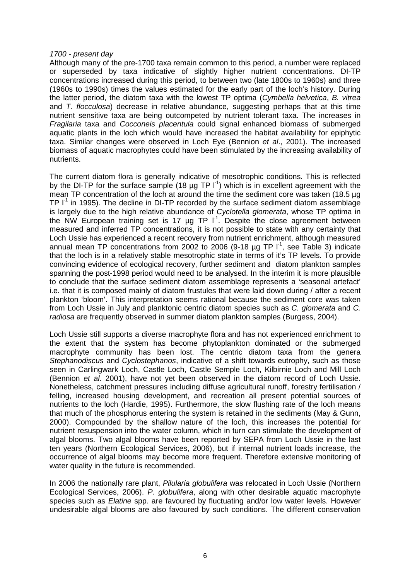#### 1700 - present day

Although many of the pre-1700 taxa remain common to this period, a number were replaced or superseded by taxa indicative of slightly higher nutrient concentrations. DI-TP concentrations increased during this period, to between two (late 1800s to 1960s) and three (1960s to 1990s) times the values estimated for the early part of the loch's history. During the latter period, the diatom taxa with the lowest TP optima (Cymbella helvetica, B. vitrea and T. flocculosa) decrease in relative abundance, suggesting perhaps that at this time nutrient sensitive taxa are being outcompeted by nutrient tolerant taxa. The increases in Fragilaria taxa and Cocconeis placentula could signal enhanced biomass of submerged aquatic plants in the loch which would have increased the habitat availability for epiphytic taxa. Similar changes were observed in Loch Eye (Bennion et al., 2001). The increased biomass of aquatic macrophytes could have been stimulated by the increasing availability of nutrients.

The current diatom flora is generally indicative of mesotrophic conditions. This is reflected by the DI-TP for the surface sample (18  $\mu$ g TP I<sup>-1</sup>) which is in excellent agreement with the mean TP concentration of the loch at around the time the sediment core was taken (18.5 µg TP  $I<sup>1</sup>$  in 1995). The decline in DI-TP recorded by the surface sediment diatom assemblage is largely due to the high relative abundance of Cyclotella glomerata, whose TP optima in the NW European training set is 17  $\mu$ g TP  $I^1$ . Despite the close agreement between measured and inferred TP concentrations, it is not possible to state with any certainty that Loch Ussie has experienced a recent recovery from nutrient enrichment, although measured annual mean TP concentrations from 2002 to 2006 (9-18  $\mu$ g TP  $\Gamma^1$ , see Table 3) indicate that the loch is in a relatively stable mesotrophic state in terms of it's TP levels. To provide convincing evidence of ecological recovery, further sediment and diatom plankton samples spanning the post-1998 period would need to be analysed. In the interim it is more plausible to conclude that the surface sediment diatom assemblage represents a 'seasonal artefact' i.e. that it is composed mainly of diatom frustules that were laid down during / after a recent plankton 'bloom'. This interpretation seems rational because the sediment core was taken from Loch Ussie in July and planktonic centric diatom species such as C. glomerata and C. radiosa are frequently observed in summer diatom plankton samples (Burgess, 2004).

Loch Ussie still supports a diverse macrophyte flora and has not experienced enrichment to the extent that the system has become phytoplankton dominated or the submerged macrophyte community has been lost. The centric diatom taxa from the genera Stephanodiscus and Cyclostephanos, indicative of a shift towards eutrophy, such as those seen in Carlingwark Loch, Castle Loch, Castle Semple Loch, Kilbirnie Loch and Mill Loch (Bennion et al. 2001), have not yet been observed in the diatom record of Loch Ussie. Nonetheless, catchment pressures including diffuse agricultural runoff, forestry fertilisation / felling, increased housing development, and recreation all present potential sources of nutrients to the loch (Hardie, 1995). Furthermore, the slow flushing rate of the loch means that much of the phosphorus entering the system is retained in the sediments (May & Gunn, 2000). Compounded by the shallow nature of the loch, this increases the potential for nutrient resuspension into the water column, which in turn can stimulate the development of algal blooms. Two algal blooms have been reported by SEPA from Loch Ussie in the last ten years (Northern Ecological Services, 2006), but if internal nutrient loads increase, the occurrence of algal blooms may become more frequent. Therefore extensive monitoring of water quality in the future is recommended.

In 2006 the nationally rare plant, *Pilularia globulifera* was relocated in Loch Ussie (Northern Ecological Services, 2006). P. globulifera, along with other desirable aquatic macrophyte species such as Elatine spp. are favoured by fluctuating and/or low water levels. However undesirable algal blooms are also favoured by such conditions. The different conservation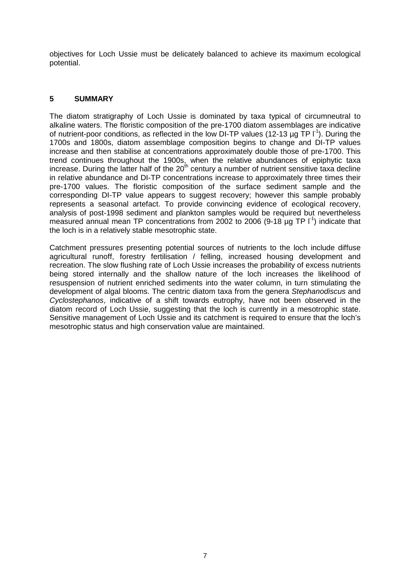objectives for Loch Ussie must be delicately balanced to achieve its maximum ecological potential.

## **5 SUMMARY**

The diatom stratigraphy of Loch Ussie is dominated by taxa typical of circumneutral to alkaline waters. The floristic composition of the pre-1700 diatom assemblages are indicative of nutrient-poor conditions, as reflected in the low DI-TP values (12-13  $\mu$ g TP  $I^1$ ). During the 1700s and 1800s, diatom assemblage composition begins to change and DI-TP values increase and then stabilise at concentrations approximately double those of pre-1700. This trend continues throughout the 1900s, when the relative abundances of epiphytic taxa increase. During the latter half of the  $20<sup>th</sup>$  century a number of nutrient sensitive taxa decline in relative abundance and DI-TP concentrations increase to approximately three times their pre-1700 values. The floristic composition of the surface sediment sample and the corresponding DI-TP value appears to suggest recovery; however this sample probably represents a seasonal artefact. To provide convincing evidence of ecological recovery, analysis of post-1998 sediment and plankton samples would be required but nevertheless measured annual mean TP concentrations from 2002 to 2006 (9-18  $\mu$ g TP  $\Gamma^1$ ) indicate that the loch is in a relatively stable mesotrophic state.

Catchment pressures presenting potential sources of nutrients to the loch include diffuse agricultural runoff, forestry fertilisation / felling, increased housing development and recreation. The slow flushing rate of Loch Ussie increases the probability of excess nutrients being stored internally and the shallow nature of the loch increases the likelihood of resuspension of nutrient enriched sediments into the water column, in turn stimulating the development of algal blooms. The centric diatom taxa from the genera Stephanodiscus and Cyclostephanos, indicative of a shift towards eutrophy, have not been observed in the diatom record of Loch Ussie, suggesting that the loch is currently in a mesotrophic state. Sensitive management of Loch Ussie and its catchment is required to ensure that the loch's mesotrophic status and high conservation value are maintained.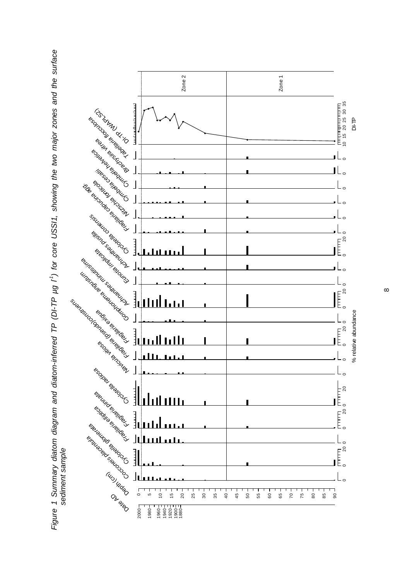

Figure 1 Summary diatom diagram and diatom-inferred TP (DI-TP µg l-1) for core USSI1, showing the two major zones and the surface Figure 1 Summary diatom diagram and diatom-inferred TP (DI-TP µg I') for core USSI1, showing the two major zones and the surface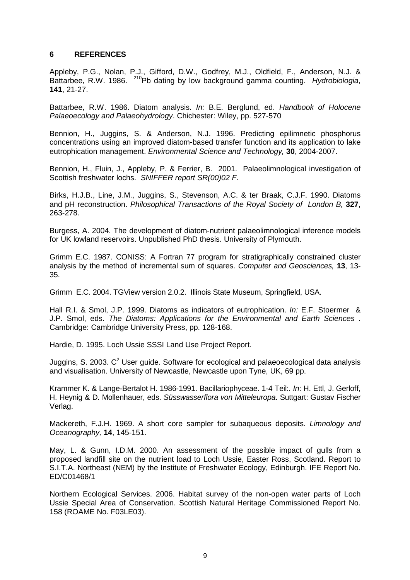### **6 REFERENCES**

Appleby, P.G., Nolan, P.J., Gifford, D.W., Godfrey, M.J., Oldfield, F., Anderson, N.J. & Battarbee. R.W. 1986. <sup>210</sup>Pb dating by low background gamma counting. Hydrobiologia, **141**, 21-27.

Battarbee, R.W. 1986. Diatom analysis. In: B.E. Berglund, ed. Handbook of Holocene Palaeoecology and Palaeohydrology. Chichester: Wiley, pp. 527-570

Bennion, H., Juggins, S. & Anderson, N.J. 1996. Predicting epilimnetic phosphorus concentrations using an improved diatom-based transfer function and its application to lake eutrophication management. Environmental Science and Technology, **30**, 2004-2007.

Bennion, H., Fluin, J., Appleby, P. & Ferrier, B. 2001. Palaeolimnological investigation of Scottish freshwater lochs. SNIFFER report SR(00)02 F.

Birks, H.J.B., Line, J.M., Juggins, S., Stevenson, A.C. & ter Braak, C.J.F. 1990. Diatoms and pH reconstruction. Philosophical Transactions of the Royal Society of London B, **327**, 263-278.

Burgess, A. 2004. The development of diatom-nutrient palaeolimnological inference models for UK lowland reservoirs. Unpublished PhD thesis. University of Plymouth.

Grimm E.C. 1987. CONISS: A Fortran 77 program for stratigraphically constrained cluster analysis by the method of incremental sum of squares. Computer and Geosciences, **13**, 13- 35.

Grimm E.C. 2004. TGView version 2.0.2. Illinois State Museum, Springfield, USA.

Hall R.I. & Smol, J.P. 1999. Diatoms as indicators of eutrophication. In: E.F. Stoermer & J.P. Smol, eds. The Diatoms: Applications for the Environmental and Earth Sciences . Cambridge: Cambridge University Press, pp. 128-168.

Hardie, D. 1995. Loch Ussie SSSI Land Use Project Report.

Juggins, S. 2003.  $C^2$  User guide. Software for ecological and palaeoecological data analysis and visualisation. University of Newcastle, Newcastle upon Tyne, UK, 69 pp.

Krammer K. & Lange-Bertalot H. 1986-1991. Bacillariophyceae. 1-4 Teil:. In: H. Ettl, J. Gerloff, H. Heynig & D. Mollenhauer, eds. Süsswasserflora von Mitteleuropa. Suttgart: Gustav Fischer Verlag.

Mackereth, F.J.H. 1969. A short core sampler for subaqueous deposits. Limnology and Oceanography, **14**, 145-151.

May, L. & Gunn, I.D.M. 2000. An assessment of the possible impact of gulls from a proposed landfill site on the nutrient load to Loch Ussie, Easter Ross, Scotland. Report to S.I.T.A. Northeast (NEM) by the Institute of Freshwater Ecology, Edinburgh. IFE Report No. ED/C01468/1

Northern Ecological Services. 2006. Habitat survey of the non-open water parts of Loch Ussie Special Area of Conservation. Scottish Natural Heritage Commissioned Report No. 158 (ROAME No. F03LE03).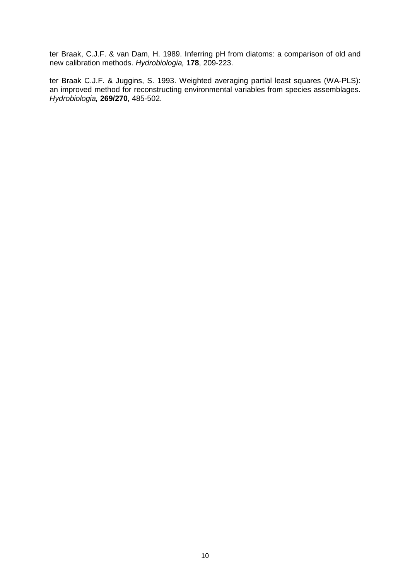ter Braak, C.J.F. & van Dam, H. 1989. Inferring pH from diatoms: a comparison of old and new calibration methods. Hydrobiologia, **178**, 209-223.

ter Braak C.J.F. & Juggins, S. 1993. Weighted averaging partial least squares (WA-PLS): an improved method for reconstructing environmental variables from species assemblages. Hydrobiologia, **269/270**, 485-502.